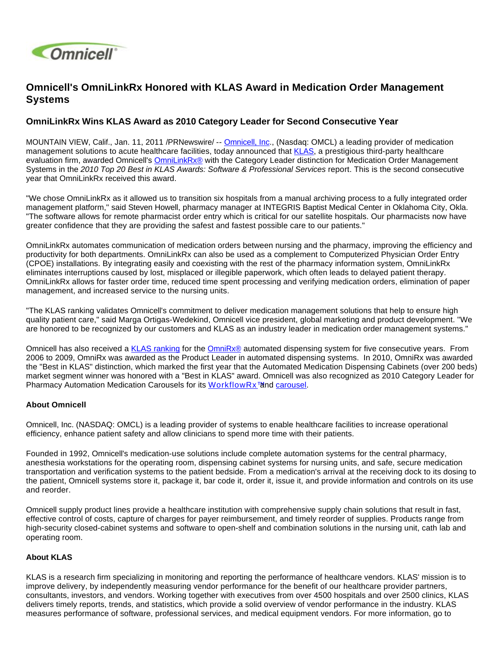

## **Omnicell's OmniLinkRx Honored with KLAS Award in Medication Order Management Systems**

## **OmniLinkRx Wins KLAS Award as 2010 Category Leader for Second Consecutive Year**

MOUNTAIN VIEW, Calif., Jan. 11, 2011 /PRNewswire/ -- [Omnicell, Inc.](http://www.omnicell.com/), (Nasdaq: OMCL) a leading provider of medication management solutions to acute healthcare facilities, today announced that [KLAS,](http://www.klasresearch.com/) a prestigious third-party healthcare evaluation firm, awarded Omnicell's [OmniLinkRx®](http://www.omnicell.com/Resources/Datasheets/OmniLinkRx.pdf) with the Category Leader distinction for Medication Order Management Systems in the 2010 Top 20 Best in KLAS Awards: Software & Professional Services report. This is the second consecutive year that OmniLinkRx received this award.

"We chose OmniLinkRx as it allowed us to transition six hospitals from a manual archiving process to a fully integrated order management platform," said Steven Howell, pharmacy manager at INTEGRIS Baptist Medical Center in Oklahoma City, Okla. "The software allows for remote pharmacist order entry which is critical for our satellite hospitals. Our pharmacists now have greater confidence that they are providing the safest and fastest possible care to our patients."

OmniLinkRx automates communication of medication orders between nursing and the pharmacy, improving the efficiency and productivity for both departments. OmniLinkRx can also be used as a complement to Computerized Physician Order Entry (CPOE) installations. By integrating easily and coexisting with the rest of the pharmacy information system, OmniLinkRx eliminates interruptions caused by lost, misplaced or illegible paperwork, which often leads to delayed patient therapy. OmniLinkRx allows for faster order time, reduced time spent processing and verifying medication orders, elimination of paper management, and increased service to the nursing units.

"The KLAS ranking validates Omnicell's commitment to deliver medication management solutions that help to ensure high quality patient care," said Marga Ortigas-Wedekind, Omnicell vice president, global marketing and product development. "We are honored to be recognized by our customers and KLAS as an industry leader in medication order management systems."

Omnicell has also received a [KLAS ranking](http://www.omnicell.com/NewsEvents/NewsReleases/Pages/2010BestinKLASAward.aspx) for the [OmniRx®](http://www.omnicell.com/Solutions/Medication-Dispensing/Automated-Dispensing-Cabinets/Pages/OmniRx.aspx) automated dispensing system for five consecutive years. From 2006 to 2009, OmniRx was awarded as the Product Leader in automated dispensing systems. In 2010, OmniRx was awarded the "Best in KLAS" distinction, which marked the first year that the Automated Medication Dispensing Cabinets (over 200 beds) market segment winner was honored with a "Best in KLAS" award. Omnicell was also recognized as 2010 Category Leader for Pharmacy Automation Medication Carousels for its [WorkflowRx™](http://www.omnicell.com/Solutions/Central-Pharmacy-Automation/Pharmacy-Workflow/Pages/WorkflowRxSoftware.aspx) and [carousel.](http://www.omnicell.com/Solutions/Central-Pharmacy-Automation/Pharmacy-Workflow/Pages/Carousel.aspx)

## **About Omnicell**

Omnicell, Inc. (NASDAQ: OMCL) is a leading provider of systems to enable healthcare facilities to increase operational efficiency, enhance patient safety and allow clinicians to spend more time with their patients.

Founded in 1992, Omnicell's medication-use solutions include complete automation systems for the central pharmacy, anesthesia workstations for the operating room, dispensing cabinet systems for nursing units, and safe, secure medication transportation and verification systems to the patient bedside. From a medication's arrival at the receiving dock to its dosing to the patient, Omnicell systems store it, package it, bar code it, order it, issue it, and provide information and controls on its use and reorder.

Omnicell supply product lines provide a healthcare institution with comprehensive supply chain solutions that result in fast, effective control of costs, capture of charges for payer reimbursement, and timely reorder of supplies. Products range from high-security closed-cabinet systems and software to open-shelf and combination solutions in the nursing unit, cath lab and operating room.

## **About KLAS**

KLAS is a research firm specializing in monitoring and reporting the performance of healthcare vendors. KLAS' mission is to improve delivery, by independently measuring vendor performance for the benefit of our healthcare provider partners, consultants, investors, and vendors. Working together with executives from over 4500 hospitals and over 2500 clinics, KLAS delivers timely reports, trends, and statistics, which provide a solid overview of vendor performance in the industry. KLAS measures performance of software, professional services, and medical equipment vendors. For more information, go to